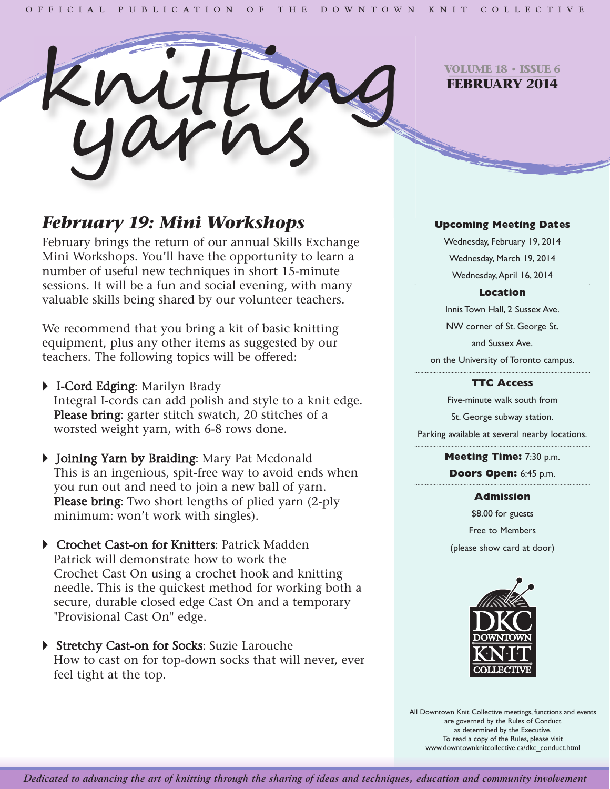

**VOLUME 18 • ISSUE 6 FEBRUARY 2014**

# *February 19: Mini Workshops*

February brings the return of our annual Skills Exchange Mini Workshops. You'll have the opportunity to learn a number of useful new techniques in short 15-minute sessions. It will be a fun and social evening, with many valuable skills being shared by our volunteer teachers.

We recommend that you bring a kit of basic knitting equipment, plus any other items as suggested by our teachers. The following topics will be offered:

- **FI-Cord Edging: Marilyn Brady** Integral I-cords can add polish and style to a knit edge. Please bring: garter stitch swatch, 20 stitches of a worsted weight yarn, with 6-8 rows done.
- Iv Joining Yarn by Braiding: Mary Pat Mcdonald This is an ingenious, spit-free way to avoid ends when you run out and need to join a new ball of yarn. Please bring: Two short lengths of plied yarn (2-ply) minimum: won't work with singles).
- ▶ Crochet Cast-on for Knitters: Patrick Madden Patrick will demonstrate how to work the Crochet Cast On using a crochet hook and knitting needle. This is the quickest method for working both a secure, durable closed edge Cast On and a temporary "Provisional Cast On" edge.
- ▶ Stretchy Cast-on for Socks: Suzie Larouche How to cast on for top-down socks that will never, ever feel tight at the top.

# **Upcoming Meeting Dates**

Wednesday, February 19, 2014 Wednesday, March 19, 2014 Wednesday,April 16, 2014

# **Location**

Innis Town Hall, 2 Sussex Ave. NW corner of St. George St. and Sussex Ave. on the University of Toronto campus.

# **TTC Access**

Five-minute walk south from St. George subway station. Parking available at several nearby locations.

> **Meeting Time:** 7:30 p.m. **Doors Open:** 6:45 p.m.

> > **Admission**

\$8.00 for guests Free to Members (please show card at door)



All Downtown Knit Collective meetings, functions and events are governed by the Rules of Conduct as determined by the Executive. To read a copy of the Rules, please visit www.downtownknitcollective.ca/dkc\_conduct.html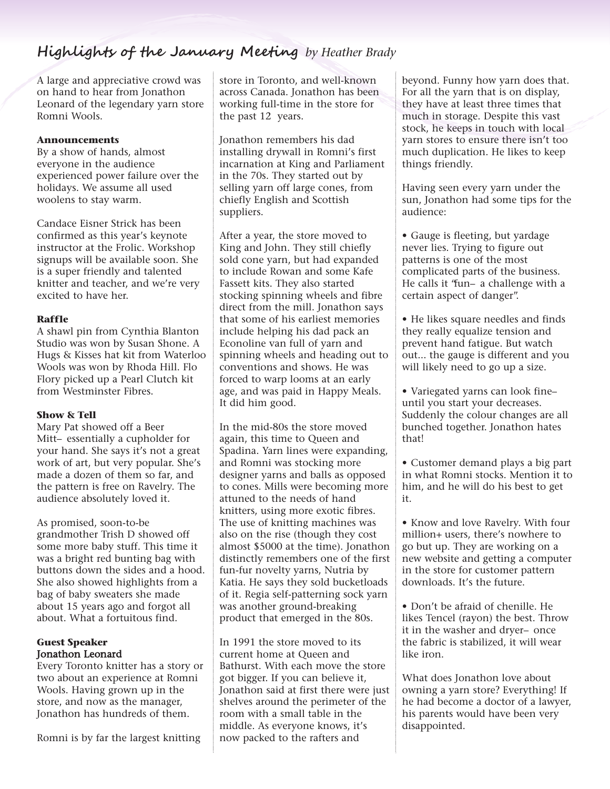# **Highlights of the January Meeting** *by Heather Brady*

A large and appreciative crowd was on hand to hear from Jonathon Leonard of the legendary yarn store Romni Wools.

# **Announcements**

By a show of hands, almost everyone in the audience experienced power failure over the holidays. We assume all used woolens to stay warm.

Candace Eisner Strick has been confirmed as this year's keynote instructor at the Frolic. Workshop signups will be available soon. She is a super friendly and talented knitter and teacher, and we're very excited to have her.

# **Raffle**

A shawl pin from Cynthia Blanton Studio was won by Susan Shone. A Hugs & Kisses hat kit from Waterloo Wools was won by Rhoda Hill. Flo Flory picked up a Pearl Clutch kit from Westminster Fibres.

#### **Show & Tell**

Mary Pat showed off a Beer Mitt– essentially a cupholder for your hand. She says it's not a great work of art, but very popular. She's made a dozen of them so far, and the pattern is free on Ravelry. The audience absolutely loved it.

As promised, soon-to-be grandmother Trish D showed off some more baby stuff. This time it was a bright red bunting bag with buttons down the sides and a hood. She also showed highlights from a bag of baby sweaters she made about 15 years ago and forgot all about. What a fortuitous find.

# **Guest Speaker** Jonathon Leonard

Every Toronto knitter has a story or two about an experience at Romni Wools. Having grown up in the store, and now as the manager, Jonathon has hundreds of them.

Romni is by far the largest knitting

store in Toronto, and well-known across Canada. Jonathon has been working full-time in the store for the past 12 years.

Jonathon remembers his dad installing drywall in Romni's first incarnation at King and Parliament in the 70s. They started out by selling yarn off large cones, from chiefly English and Scottish suppliers.

After a year, the store moved to King and John. They still chiefly sold cone yarn, but had expanded to include Rowan and some Kafe Fassett kits. They also started stocking spinning wheels and fibre direct from the mill. Jonathon says that some of his earliest memories include helping his dad pack an Econoline van full of yarn and spinning wheels and heading out to conventions and shows. He was forced to warp looms at an early age, and was paid in Happy Meals. It did him good.

In the mid-80s the store moved again, this time to Queen and Spadina. Yarn lines were expanding, and Romni was stocking more designer yarns and balls as opposed to cones. Mills were becoming more attuned to the needs of hand knitters, using more exotic fibres. The use of knitting machines was also on the rise (though they cost almost \$5000 at the time). Jonathon distinctly remembers one of the first fun-fur novelty yarns, Nutria by Katia. He says they sold bucketloads of it. Regia self-patterning sock yarn was another ground-breaking product that emerged in the 80s.

In 1991 the store moved to its current home at Queen and Bathurst. With each move the store got bigger. If you can believe it, Jonathon said at first there were just shelves around the perimeter of the room with a small table in the middle. As everyone knows, it's now packed to the rafters and

beyond. Funny how yarn does that. For all the yarn that is on display, they have at least three times that much in storage. Despite this vast stock, he keeps in touch with local yarn stores to ensure there isn't too much duplication. He likes to keep things friendly.

Having seen every yarn under the sun, Jonathon had some tips for the audience:

• Gauge is fleeting, but yardage never lies. Trying to figure out patterns is one of the most complicated parts of the business. He calls it "fun– a challenge with a certain aspect of danger".

• He likes square needles and finds they really equalize tension and prevent hand fatigue. But watch out... the gauge is different and you will likely need to go up a size.

• Variegated yarns can look fine– until you start your decreases. Suddenly the colour changes are all bunched together. Jonathon hates that!

• Customer demand plays a big part in what Romni stocks. Mention it to him, and he will do his best to get it.

• Know and love Ravelry. With four million+ users, there's nowhere to go but up. They are working on a new website and getting a computer in the store for customer pattern downloads. It's the future.

• Don't be afraid of chenille. He likes Tencel (rayon) the best. Throw it in the washer and dryer– once the fabric is stabilized, it will wear like iron.

What does Jonathon love about owning a yarn store? Everything! If he had become a doctor of a lawyer, his parents would have been very disappointed.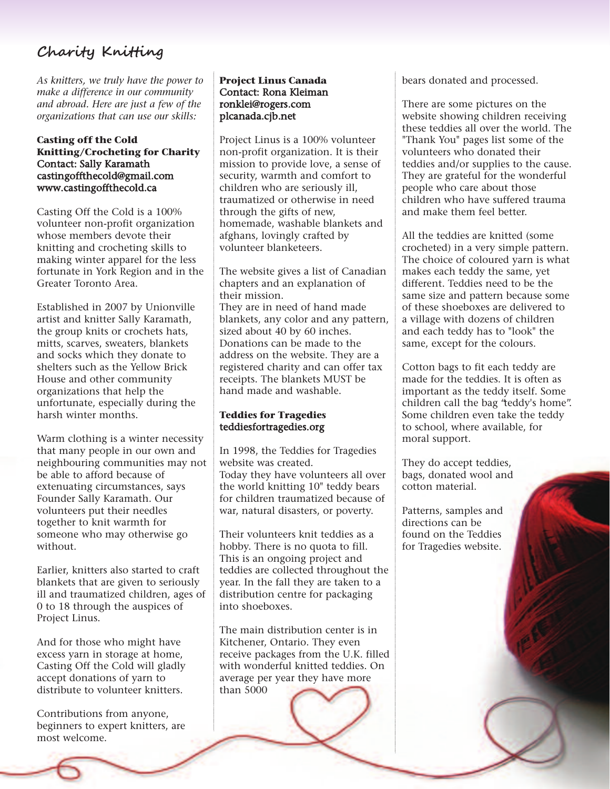# **Charity Knitting**

*As knitters, we truly have the power to make a difference in our community and abroad. Here are just a few of the organizations that can use our skills:*

#### **Casting off the Cold Knitting/Crocheting for Charity** Contact: Sally Karamath castingoffthecold@gmail.com www.castingoffthecold.ca

Casting Off the Cold is a 100% volunteer non-profit organization whose members devote their knitting and crocheting skills to making winter apparel for the less fortunate in York Region and in the Greater Toronto Area.

Established in 2007 by Unionville artist and knitter Sally Karamath, the group knits or crochets hats, mitts, scarves, sweaters, blankets and socks which they donate to shelters such as the Yellow Brick House and other community organizations that help the unfortunate, especially during the harsh winter months.

Warm clothing is a winter necessity that many people in our own and neighbouring communities may not be able to afford because of extenuating circumstances, says Founder Sally Karamath. Our volunteers put their needles together to knit warmth for someone who may otherwise go without.

Earlier, knitters also started to craft blankets that are given to seriously ill and traumatized children, ages of 0 to 18 through the auspices of Project Linus.

And for those who might have excess yarn in storage at home, Casting Off the Cold will gladly accept donations of yarn to distribute to volunteer knitters.

Contributions from anyone, beginners to expert knitters, are most welcome.

# **Project Linus Canada** Contact: Rona Kleiman ronklei@rogers.com plcanada.cjb.net

Project Linus is a 100% volunteer non-profit organization. It is their mission to provide love, a sense of security, warmth and comfort to children who are seriously ill, traumatized or otherwise in need through the gifts of new, homemade, washable blankets and afghans, lovingly crafted by volunteer blanketeers.

The website gives a list of Canadian chapters and an explanation of their mission. They are in need of hand made blankets, any color and any pattern, sized about 40 by 60 inches. Donations can be made to the address on the website. They are a registered charity and can offer tax receipts. The blankets MUST be hand made and washable.

# **Teddies for Tragedies** teddiesfortragedies.org

In 1998, the Teddies for Tragedies website was created. Today they have volunteers all over the world knitting 10" teddy bears for children traumatized because of war, natural disasters, or poverty.

Their volunteers knit teddies as a hobby. There is no quota to fill. This is an ongoing project and teddies are collected throughout the year. In the fall they are taken to a distribution centre for packaging into shoeboxes.

The main distribution center is in Kitchener, Ontario. They even receive packages from the U.K. filled with wonderful knitted teddies. On average per year they have more than 5000

bears donated and processed.

There are some pictures on the website showing children receiving these teddies all over the world. The "Thank You" pages list some of the volunteers who donated their teddies and/or supplies to the cause. They are grateful for the wonderful people who care about those children who have suffered trauma and make them feel better.

All the teddies are knitted (some crocheted) in a very simple pattern. The choice of coloured yarn is what makes each teddy the same, yet different. Teddies need to be the same size and pattern because some of these shoeboxes are delivered to a village with dozens of children and each teddy has to "look" the same, except for the colours.

Cotton bags to fit each teddy are made for the teddies. It is often as important as the teddy itself. Some children call the bag "teddy's home". Some children even take the teddy to school, where available, for moral support.

They do accept teddies, bags, donated wool and cotton material.

Patterns, samples and directions can be found on the Teddies for Tragedies website.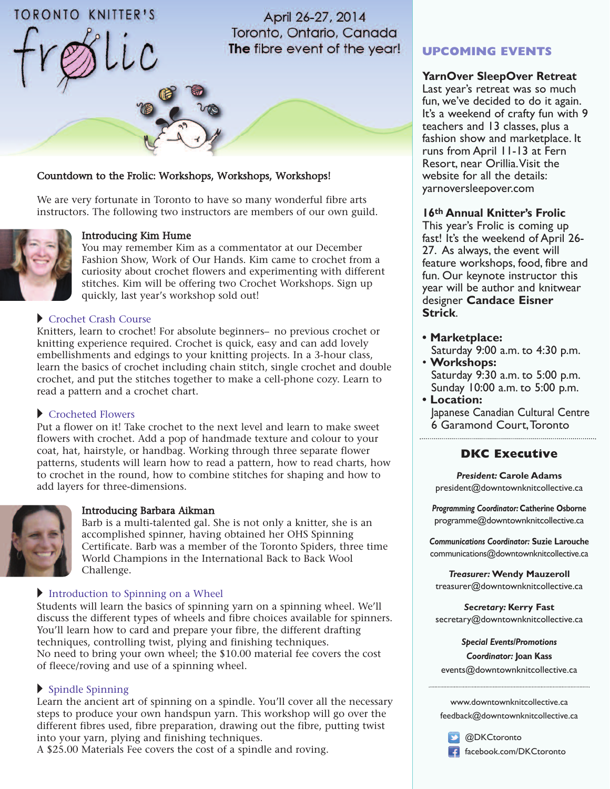# **TORONTO KNITTER'S**

April 26-27, 2014 Toronto, Ontario, Canada The fibre event of the year!

# Countdown to the Frolic: Workshops, Workshops, Workshops!

We are very fortunate in Toronto to have so many wonderful fibre arts instructors. The following two instructors are members of our own guild.



### Introducing Kim Hume

You may remember Kim as a commentator at our December Fashion Show, Work of Our Hands. Kim came to crochet from a curiosity about crochet flowers and experimenting with different stitches. Kim will be offering two Crochet Workshops. Sign up quickly, last year's workshop sold out!

#### Crochet Crash Course

Knitters, learn to crochet! For absolute beginners– no previous crochet or knitting experience required. Crochet is quick, easy and can add lovely embellishments and edgings to your knitting projects. In a 3-hour class, learn the basics of crochet including chain stitch, single crochet and double crochet, and put the stitches together to make a cell-phone cozy. Learn to read a pattern and a crochet chart.

#### $\blacktriangleright$  Crocheted Flowers

Put a flower on it! Take crochet to the next level and learn to make sweet flowers with crochet. Add a pop of handmade texture and colour to your coat, hat, hairstyle, or handbag. Working through three separate flower patterns, students will learn how to read a pattern, how to read charts, how to crochet in the round, how to combine stitches for shaping and how to add layers for three-dimensions.



#### Introducing Barbara Aikman

Barb is a multi-talented gal. She is not only a knitter, she is an accomplished spinner, having obtained her OHS Spinning Certificate. Barb was a member of the Toronto Spiders, three time World Champions in the International Back to Back Wool Challenge.

#### Introduction to Spinning on a Wheel

Students will learn the basics of spinning yarn on a spinning wheel. We'll discuss the different types of wheels and fibre choices available for spinners. You'll learn how to card and prepare your fibre, the different drafting techniques, controlling twist, plying and finishing techniques. No need to bring your own wheel; the \$10.00 material fee covers the cost of fleece/roving and use of a spinning wheel.

# $\blacktriangleright$  Spindle Spinning

Learn the ancient art of spinning on a spindle. You'll cover all the necessary steps to produce your own handspun yarn. This workshop will go over the different fibres used, fibre preparation, drawing out the fibre, putting twist into your yarn, plying and finishing techniques.

A \$25.00 Materials Fee covers the cost of a spindle and roving.

# **UPCOMING EVENTS**

# **YarnOver SleepOver Retreat**

Last year's retreat was so much fun, we've decided to do it again. It's a weekend of crafty fun with 9 teachers and 13 classes, plus a fashion show and marketplace. It runs from April 11-13 at Fern Resort, near Orillia.Visit the website for all the details: yarnoversleepover.com

#### **16th Annual Knitter's Frolic**

This year's Frolic is coming up fast! It's the weekend of April 26- 27. As always, the event will feature workshops, food, fibre and fun. Our keynote instructor this year will be author and knitwear designer **Candace Eisner Strick**.

- **• Marketplace:** Saturday 9:00 a.m. to 4:30 p.m.
- **Workshops:** Saturday 9:30 a.m. to 5:00 p.m. Sunday 10:00 a.m. to 5:00 p.m.
- **• Location:** Japanese Canadian Cultural Centre 6 Garamond Court,Toronto

# **DKC Executive**

*President:* **Carole Adams** [president@downtownknitcollective.ca](mailto: president@downtownknitcollective.ca)

*Programming Coordinator:* **Catherine Osborne** [programme@downtownknitcollective.ca](mailto: programme@downtownknitcollective.ca)

*Communications Coordinator:* **Suzie Larouche** [communications@downtownknitcollective.ca](mailto: communications@downtownknitcollective.ca)

*Treasurer:* **Wendy Mauzeroll** [treasurer@downtownknitcollective.ca](mailto: treasurer@downtownknitcollective.ca)

*Secretary:* **Kerry Fast** [secretary@downtownknitcollective.ca](mailto: secretary@downtownknitcollective.ca)

> *Special Events/Promotions Coordinator:* **Joan Kass**

[events@downtownknitcollective.ca](mailto: events@downtownknitcollective.ca)

<www.downtownknitcollective.ca> [feedback@downtownknitcollective.ca](mailto: feedback@downtownknitcollective.ca)

[@DKCtoronto](https://twitter.com/DKCToronto) [facebook.com/DKCtoronto](https://www.facebook.com/DKCToronto)